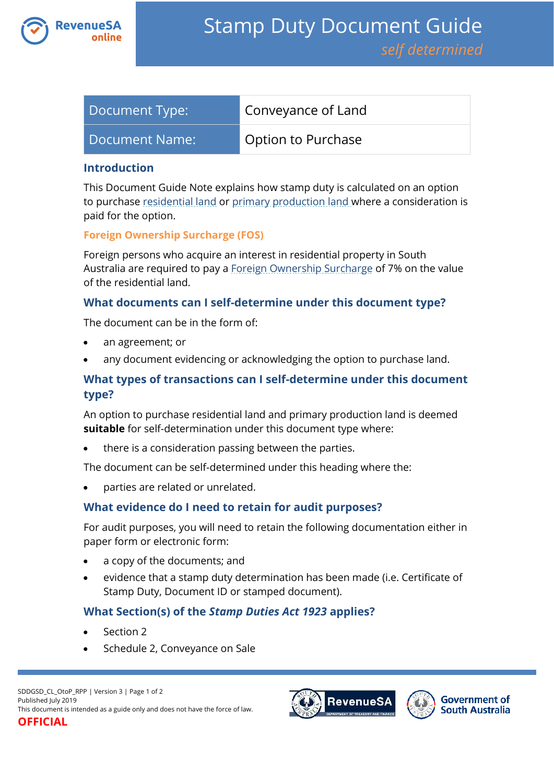

| Document Type: | Conveyance of Land |
|----------------|--------------------|
| Document Name: | Option to Purchase |

## **Introduction**

This Document Guide Note explains how stamp duty is calculated on an option to purchase [residential land](https://www.revenuesa.sa.gov.au/stampduty/stamp-duty-document-guide#RR&PP) or [primary production land](https://www.revenuesa.sa.gov.au/stampduty/stamp-duty-document-guide#RR&PP) where a consideration is paid for the option.

## **Foreign Ownership Surcharge (FOS)**

Foreign persons who acquire an interest in residential property in South Australia are required to pay a [Foreign Ownership Surcharge](https://www.revenuesa.sa.gov.au/stampduty/stamp-duty-document-guide#FOS) of 7% on the value of the residential land.

## **What documents can I self-determine under this document type?**

The document can be in the form of:

- an agreement; or
- any document evidencing or acknowledging the option to purchase land.

# **What types of transactions can I self-determine under this document type?**

An option to purchase residential land and primary production land is deemed **suitable** for self-determination under this document type where:

there is a consideration passing between the parties.

The document can be self-determined under this heading where the:

parties are related or unrelated.

## **What evidence do I need to retain for audit purposes?**

For audit purposes, you will need to retain the following documentation either in paper form or electronic form:

- a copy of the documents; and
- evidence that a stamp duty determination has been made (i.e. Certificate of Stamp Duty, Document ID or stamped document).

## **What Section(s) of the** *Stamp Duties Act 1923* **applies?**

- Section 2
- Schedule 2, Conveyance on Sale